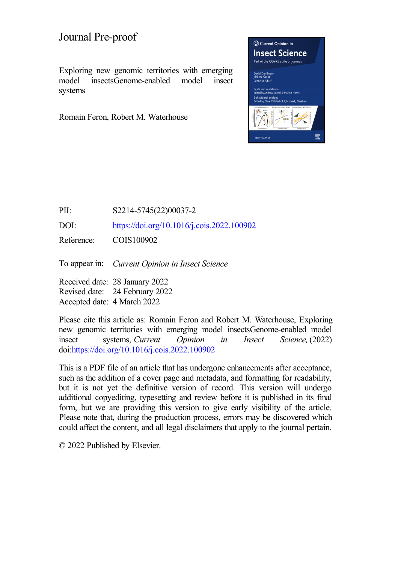# Journal Pre-proof

Exploring new genomic territories with emerging model insectsGenome-enabled model insect systems

Romain Feron, Robert M. Waterhouse



PII: S2214-5745(22)00037-2

DOI: <https://doi.org/10.1016/j.cois.2022.100902>

Reference: COIS100902

To appear in: *Current Opinion in Insect Science*

Received date: 28 January 2022 Revised date: 24 February 2022 Accepted date: 4 March 2022

Please cite this article as: Romain Feron and Robert M. Waterhouse, Exploring new genomic territories with emerging model insectsGenome-enabled model insect systems, *Current Opinion in Insect Science,* (2022) doi[:https://doi.org/10.1016/j.cois.2022.100902](https://doi.org/10.1016/j.cois.2022.100902)

This is a PDF file of an article that has undergone enhancements after acceptance, such as the addition of a cover page and metadata, and formatting for readability, but it is not yet the definitive version of record. This version will undergo additional copyediting, typesetting and review before it is published in its final form, but we are providing this version to give early visibility of the article. Please note that, during the production process, errors may be discovered which could affect the content, and all legal disclaimers that apply to the journal pertain.

© 2022 Published by Elsevier.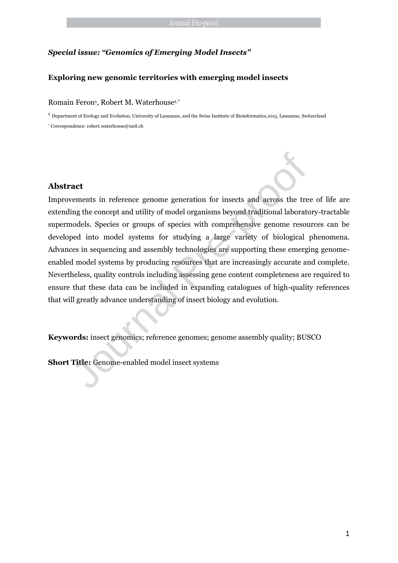## *Special issue: "Genomics of Emerging Model Insects"*

### **Exploring new genomic territories with emerging model insects**

#### Romain Feron<sup>1</sup>, Robert M. Waterhouse<sup>1,\*</sup>

1 Department of Ecology and Evolution, University of Lausanne, and the Swiss Institute of Bioinformatics,1015, Lausanne, Switzerland \* Correspondence: robert.waterhouse@unil.ch

## **Abstract**

Improvements in reference genome generation for insects and across the tree of life are extending the concept and utility of model organisms beyond traditional laboratory-tractable supermodels. Species or groups of species with comprehensive genome resources can be developed into model systems for studying a large variety of biological phenomena. Advances in sequencing and assembly technologies are supporting these emerging genomeenabled model systems by producing resources that are increasingly accurate and complete. Nevertheless, quality controls including assessing gene content completeness are required to ensure that these data can be included in expanding catalogues of high-quality references that will greatly advance understanding of insect biology and evolution. **Abstract**<br>Improvements in reference genome generation for insects and across the trextending the concept and utility of model organisms beyond traditional laborat<br>supermodels. Species or groups of species with comprehensi

**Keywords:** insect genomics; reference genomes; genome assembly quality; BUSCO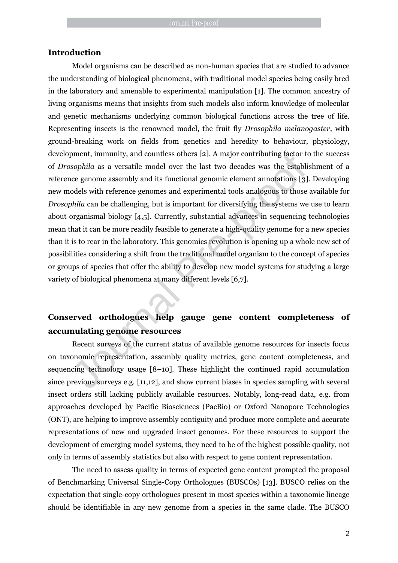### **Introduction**

Model organisms can be described as non-human species that are studied to advance the understanding of biological phenomena, with traditional model species being easily bred in the laboratory and amenable to experimental manipulation [1]. The common ancestry of living organisms means that insights from such models also inform knowledge of molecular and genetic mechanisms underlying common biological functions across the tree of life. Representing insects is the renowned model, the fruit fly *Drosophila melanogaster*, with ground-breaking work on fields from genetics and heredity to behaviour, physiology, development, immunity, and countless others [2]. A major contributing factor to the success of *Drosophila* as a versatile model over the last two decades was the establishment of a reference genome assembly and its functional genomic element annotations [3]. Developing new models with reference genomes and experimental tools analogous to those available for *Drosophila* can be challenging, but is important for diversifying the systems we use to learn about organismal biology [4,5]. Currently, substantial advances in sequencing technologies mean that it can be more readily feasible to generate a high-quality genome for a new species than it is to rear in the laboratory. This genomics revolution is opening up a whole new set of possibilities considering a shift from the traditional model organism to the concept of species or groups of species that offer the ability to develop new model systems for studying a large variety of biological phenomena at many different levels [6,7]. pment, immunity, and countless others [2]. A major contributing factor t<br>sophila as a versatile model over the last two decades was the establi<br>cce genome assembly and its functional genomic element annotations [3]<br>odels

# **Conserved orthologues help gauge gene content completeness of accumulating genome resources**

Recent surveys of the current status of available genome resources for insects focus on taxonomic representation, assembly quality metrics, gene content completeness, and sequencing technology usage [8–10]. These highlight the continued rapid accumulation since previous surveys e.g. [11,12], and show current biases in species sampling with several insect orders still lacking publicly available resources. Notably, long-read data, e.g. from approaches developed by Pacific Biosciences (PacBio) or Oxford Nanopore Technologies (ONT), are helping to improve assembly contiguity and produce more complete and accurate representations of new and upgraded insect genomes. For these resources to support the development of emerging model systems, they need to be of the highest possible quality, not only in terms of assembly statistics but also with respect to gene content representation.

The need to assess quality in terms of expected gene content prompted the proposal of Benchmarking Universal Single-Copy Orthologues (BUSCOs) [13]. BUSCO relies on the expectation that single-copy orthologues present in most species within a taxonomic lineage should be identifiable in any new genome from a species in the same clade. The BUSCO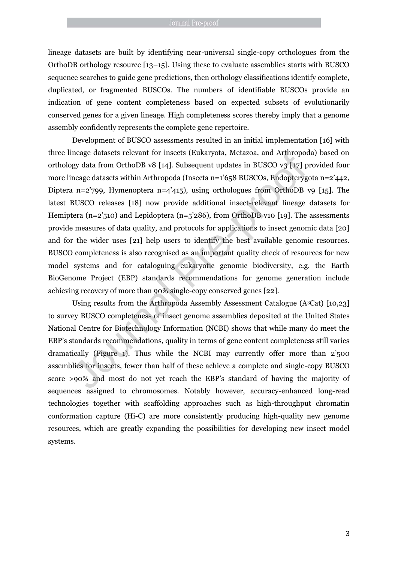lineage datasets are built by identifying near-universal single-copy orthologues from the OrthoDB orthology resource [13–15]. Using these to evaluate assemblies starts with BUSCO sequence searches to guide gene predictions, then orthology classifications identify complete, duplicated, or fragmented BUSCOs. The numbers of identifiable BUSCOs provide an indication of gene content completeness based on expected subsets of evolutionarily conserved genes for a given lineage. High completeness scores thereby imply that a genome assembly confidently represents the complete gene repertoire.

Development of BUSCO assessments resulted in an initial implementation [16] with three lineage datasets relevant for insects (Eukaryota, Metazoa, and Arthropoda) based on orthology data from OrthoDB v8 [14]. Subsequent updates in BUSCO v3 [17] provided four more lineage datasets within Arthropoda (Insecta n=1'658 BUSCOs, Endopterygota n=2'442, Diptera n=2'799, Hymenoptera n=4'415), using orthologues from OrthoDB v9 [15]. The latest BUSCO releases [18] now provide additional insect-relevant lineage datasets for Hemiptera (n=2'510) and Lepidoptera (n=5'286), from OrthoDB v10 [19]. The assessments provide measures of data quality, and protocols for applications to insect genomic data [20] and for the wider uses [21] help users to identify the best available genomic resources. BUSCO completeness is also recognised as an important quality check of resources for new model systems and for cataloguing eukaryotic genomic biodiversity, e.g. the Earth BioGenome Project (EBP) standards recommendations for genome generation include achieving recovery of more than 90% single-copy conserved genes [22]. meage datasets relevant for msects (Eukaryota, Metazoa, and Arthropoogy data from OrthoDB v8 [14]. Subsequent updates in BUSCO v3 [17] pineage datasets within Arthropoda (Insecta n=1'658 BUSCOs, Endopteryg a n=2'799, Hyme

Using results from the Arthropoda Assembly Assessment Catalogue (A3Cat) [10,23] to survey BUSCO completeness of insect genome assemblies deposited at the United States National Centre for Biotechnology Information (NCBI) shows that while many do meet the EBP's standards recommendations, quality in terms of gene content completeness still varies dramatically (Figure 1). Thus while the NCBI may currently offer more than 2'500 assemblies for insects, fewer than half of these achieve a complete and single-copy BUSCO score >90% and most do not yet reach the EBP's standard of having the majority of sequences assigned to chromosomes. Notably however, accuracy-enhanced long-read technologies together with scaffolding approaches such as high-throughput chromatin conformation capture (Hi-C) are more consistently producing high-quality new genome resources, which are greatly expanding the possibilities for developing new insect model systems.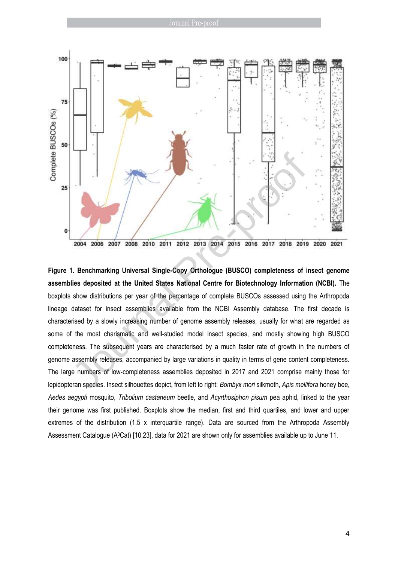

**Figure 1. Benchmarking Universal Single-Copy Orthologue (BUSCO) completeness of insect genome assemblies deposited at the United States National Centre for Biotechnology Information (NCBI).** The boxplots show distributions per year of the percentage of complete BUSCOs assessed using the Arthropoda lineage dataset for insect assemblies available from the NCBI Assembly database. The first decade is characterised by a slowly increasing number of genome assembly releases, usually for what are regarded as some of the most charismatic and well-studied model insect species, and mostly showing high BUSCO completeness. The subsequent years are characterised by a much faster rate of growth in the numbers of genome assembly releases, accompanied by large variations in quality in terms of gene content completeness. The large numbers of low-completeness assemblies deposited in 2017 and 2021 comprise mainly those for lepidopteran species. Insect silhouettes depict, from left to right: *Bombyx mori* silkmoth, *Apis mellifera* honey bee, *Aedes aegypti* mosquito, *Tribolium castaneum* beetle, and *Acyrthosiphon pisum* pea aphid, linked to the year their genome was first published. Boxplots show the median, first and third quartiles, and lower and upper extremes of the distribution (1.5 x interquartile range). Data are sourced from the Arthropoda Assembly Assessment Catalogue (A3Cat) [10,23], data for 2021 are shown only for assemblies available up to June 11. 2004 2006 2007 2008 2010 2011 2012 2013 2014 2015 2016 2017 2018 2019<br>1. Benchmarking Universal Single-Copy Orthologue (BUSCO) completeness of illies deposited at the United States National Centre for Biotechnology Informa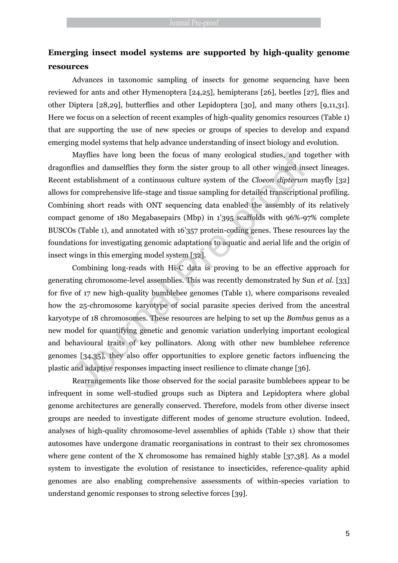# **Emerging insect model systems are supported by high-quality genome resources**

Advances in taxonomic sampling of insects for genome sequencing have been reviewed for ants and other Hymenoptera [24,25], hemipterans [26], beetles [27], flies and other Diptera [28,29], butterflies and other Lepidoptera [30], and many others [9,11,31]. Here we focus on a selection of recent examples of high-quality genomics resources (Table 1) that are supporting the use of new species or groups of species to develop and expand emerging model systems that help advance understanding of insect biology and evolution.

Mayflies have long been the focus of many ecological studies, and together with dragonflies and damselflies they form the sister group to all other winged insect lineages. Recent establishment of a continuous culture system of the *Cloeon dipterum* mayfly [32] allows for comprehensive life-stage and tissue sampling for detailed transcriptional profiling. Combining short reads with ONT sequencing data enabled the assembly of its relatively compact genome of 180 Megabasepairs (Mbp) in 1'395 scaffolds with 96%-97% complete BUSCOs (Table 1), and annotated with 16'357 protein-coding genes. These resources lay the foundations for investigating genomic adaptations to aquatic and aerial life and the origin of insect wings in this emerging model system [32]. Mayflies have long been the focus of many ecological studies, and the more stablishment of a continuous culture system of the *Cloeon dipterum* for comprehensive life-stage and tissue sampling for detailed transcriptionin

Combining long-reads with Hi-C data is proving to be an effective approach for generating chromosome-level assemblies. This was recently demonstrated by Sun *et al*. [33] for five of 17 new high-quality bumblebee genomes (Table 1), where comparisons revealed how the 25-chromosome karyotype of social parasite species derived from the ancestral karyotype of 18 chromosomes. These resources are helping to set up the *Bombus* genus as a new model for quantifying genetic and genomic variation underlying important ecological and behavioural traits of key pollinators. Along with other new bumblebee reference genomes [34,35], they also offer opportunities to explore genetic factors influencing the plastic and adaptive responses impacting insect resilience to climate change [36].

Rearrangements like those observed for the social parasite bumblebees appear to be infrequent in some well-studied groups such as Diptera and Lepidoptera where global genome architectures are generally conserved. Therefore, models from other diverse insect groups are needed to investigate different modes of genome structure evolution. Indeed, analyses of high-quality chromosome-level assemblies of aphids (Table 1) show that their autosomes have undergone dramatic reorganisations in contrast to their sex chromosomes where gene content of the X chromosome has remained highly stable [37,38]. As a model system to investigate the evolution of resistance to insecticides, reference-quality aphid genomes are also enabling comprehensive assessments of within-species variation to understand genomic responses to strong selective forces [39].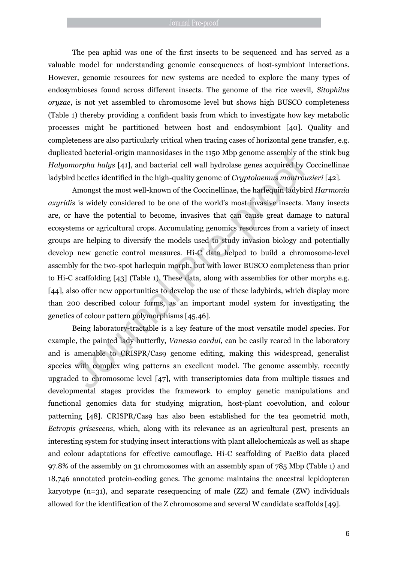The pea aphid was one of the first insects to be sequenced and has served as a valuable model for understanding genomic consequences of host-symbiont interactions. However, genomic resources for new systems are needed to explore the many types of endosymbioses found across different insects. The genome of the rice weevil, *Sitophilus oryzae*, is not yet assembled to chromosome level but shows high BUSCO completeness (Table 1) thereby providing a confident basis from which to investigate how key metabolic processes might be partitioned between host and endosymbiont [40]. Quality and completeness are also particularly critical when tracing cases of horizontal gene transfer, e.g. duplicated bacterial-origin mannosidases in the 1150 Mbp genome assembly of the stink bug *Halyomorpha halys* [41], and bacterial cell wall hydrolase genes acquired by Coccinellinae ladybird beetles identified in the high-quality genome of *Cryptolaemus montrouzieri* [42].

Amongst the most well-known of the Coccinellinae, the harlequin ladybird *Harmonia axyridis* is widely considered to be one of the world's most invasive insects. Many insects are, or have the potential to become, invasives that can cause great damage to natural ecosystems or agricultural crops. Accumulating genomics resources from a variety of insect groups are helping to diversify the models used to study invasion biology and potentially develop new genetic control measures. Hi-C data helped to build a chromosome-level assembly for the two-spot harlequin morph, but with lower BUSCO completeness than prior to Hi-C scaffolding [43] (Table 1). These data, along with assemblies for other morphs e.g. [44], also offer new opportunities to develop the use of these ladybirds, which display more than 200 described colour forms, as an important model system for investigating the genetics of colour pattern polymorphisms [45,46]. ared bacterial-origin mannosidases in the 1150 Mbp genome assembly or *morpha halys* [41], and bacterial cell wall hydrolase genes acquired by vd beetles identified in the high-quality genome of *Cryptolaemus montrou* Amon

Being laboratory-tractable is a key feature of the most versatile model species. For example, the painted lady butterfly, *Vanessa cardui*, can be easily reared in the laboratory and is amenable to CRISPR/Cas9 genome editing, making this widespread, generalist species with complex wing patterns an excellent model. The genome assembly, recently upgraded to chromosome level [47], with transcriptomics data from multiple tissues and developmental stages provides the framework to employ genetic manipulations and functional genomics data for studying migration, host-plant coevolution, and colour patterning [48]. CRISPR/Cas9 has also been established for the tea geometrid moth, *Ectropis grisescens*, which, along with its relevance as an agricultural pest, presents an interesting system for studying insect interactions with plant allelochemicals as well as shape and colour adaptations for effective camouflage. Hi-C scaffolding of PacBio data placed 97.8% of the assembly on 31 chromosomes with an assembly span of 785 Mbp (Table 1) and 18,746 annotated protein-coding genes. The genome maintains the ancestral lepidopteran karyotype (n=31), and separate resequencing of male (ZZ) and female (ZW) individuals allowed for the identification of the Z chromosome and several W candidate scaffolds [49].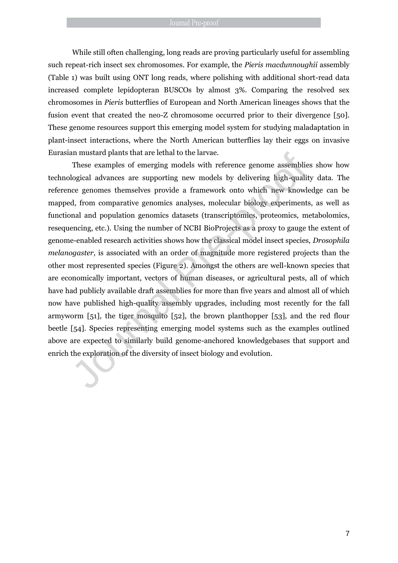While still often challenging, long reads are proving particularly useful for assembling such repeat-rich insect sex chromosomes. For example, the *Pieris macdunnoughii* assembly (Table 1) was built using ONT long reads, where polishing with additional short-read data increased complete lepidopteran BUSCOs by almost 3%. Comparing the resolved sex chromosomes in *Pieris* butterflies of European and North American lineages shows that the fusion event that created the neo-Z chromosome occurred prior to their divergence [50]. These genome resources support this emerging model system for studying maladaptation in plant-insect interactions, where the North American butterflies lay their eggs on invasive Eurasian mustard plants that are lethal to the larvae.

These examples of emerging models with reference genome assemblies show how technological advances are supporting new models by delivering high-quality data. The reference genomes themselves provide a framework onto which new knowledge can be mapped, from comparative genomics analyses, molecular biology experiments, as well as functional and population genomics datasets (transcriptomics, proteomics, metabolomics, resequencing, etc.). Using the number of NCBI BioProjects as a proxy to gauge the extent of genome-enabled research activities shows how the classical model insect species, *Drosophila melanogaster*, is associated with an order of magnitude more registered projects than the other most represented species (Figure 2). Amongst the others are well-known species that are economically important, vectors of human diseases, or agricultural pests, all of which have had publicly available draft assemblies for more than five years and almost all of which now have published high-quality assembly upgrades, including most recently for the fall armyworm [51], the tiger mosquito [52], the brown planthopper [53], and the red flour beetle [54]. Species representing emerging model systems such as the examples outlined above are expected to similarly build genome-anchored knowledgebases that support and Eurasian mustard piants that are lethal to the larvae.<br>
These examples of emerging models with reference genome assemblitechnological advances are supporting por models by delivering high-quali<br>
reference genomes themselve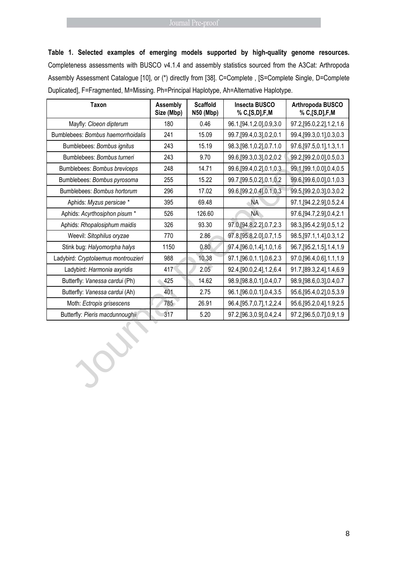**Table 1. Selected examples of emerging models supported by high-quality genome resources.** Completeness assessments with BUSCO v4.1.4 and assembly statistics sourced from the A3Cat: Arthropoda Assembly Assessment Catalogue [10], or (\*) directly from [38]. C=Complete , [S=Complete Single, D=Complete Duplicated], F=Fragmented, M=Missing. Ph=Principal Haplotype, Ah=Alternative Haplotype.

| <b>Taxon</b>                        | Assembly<br>Size (Mbp) | <b>Scaffold</b><br><b>N50 (Mbp)</b> | <b>Insecta BUSCO</b><br>% C,[S,D],F,M | Arthropoda BUSCO<br>% C, [S, D], F, M |
|-------------------------------------|------------------------|-------------------------------------|---------------------------------------|---------------------------------------|
| Mayfly: Cloeon dipterum             | 180                    | 0.46                                | 96.1, [94.1, 2.0], 0.9, 3.0           | 97.2, [95.0, 2.2], 1.2, 1.6           |
| Bumblebees: Bombus haemorrhoidalis  | 241                    | 15.09                               | 99.7, [99.4, 0.3], 0.2, 0.1           | 99.4, [99.3, 0.1], 0.3, 0.3           |
| Bumblebees: Bombus ignitus          | 243                    | 15.19                               | 98.3, [98.1, 0.2], 0.7.1.0            | 97.6, [97.5, 0.1], 1.3, 1.1           |
| Bumblebees: Bombus turneri          | 243                    | 9.70                                | 99.6, [99.3, 0.3], 0.2, 0.2           | 99.2, [99.2, 0.0], 0.5, 0.3           |
| Bumblebees: Bombus breviceps        | 248                    | 14.71                               | 99.6, [99.4, 0.2], 0.1, 0.3           | 99.1, [99.1, 0.0], 0.4, 0.5           |
| Bumblebees: Bombus pyrosoma         | 255                    | 15.22                               | 99.7, [99.5, 0.2], 0.1, 0.2           | 99.6, [99.6, 0.0], 0.1, 0.3           |
| Bumblebees: Bombus hortorum         | 296                    | 17.02                               | 99.6, [99.2, 0.4], 0.1, 0.3           | 99.5, [99.2, 0.3], 0.3, 0.2           |
| Aphids: Myzus persicae *            | 395                    | 69.48                               | <b>NA</b>                             | 97.1, [94.2, 2.9], 0.5, 2.4           |
| Aphids: Acyrthosiphon pisum *       | 526                    | 126.60                              | <b>NA</b>                             | 97.6, [94.7, 2.9], 0.4, 2.1           |
| Aphids: Rhopalosiphum maidis        | 326                    | 93.30                               | 97.0, [94.8, 2.2], 0.7, 2.3           | 98.3, [95.4, 2.9], 0.5, 1.2           |
| Weevil: Sitophilus oryzae           | 770                    | 2.86                                | 97.8, [95.8, 2.0], 0.7, 1.5           | 98.5, [97.1, 1.4], 0.3, 1.2           |
| Stink bug: Halyomorpha halys        | 1150                   | 0.80                                | 97.4, [96.0, 1.4], 1.0, 1.6           | 96.7, [95.2, 1.5], 1.4, 1.9           |
| Ladybird: Cryptolaemus montrouzieri | 988                    | 10.38                               | 97.1, [96.0, 1.1], 0.6, 2.3           | 97.0, [96.4, 0.6], 1.1, 1.9           |
| Ladybird: Harmonia axyridis         | 417                    | 2.05                                | 92.4, [90.0, 2.4], 1.2, 6.4           | 91.7, [89.3, 2.4], 1.4, 6.9           |
| Butterfly: Vanessa cardui (Ph)      | 425                    | 14.62                               | 98.9, [98.8, 0.1], 0.4, 0.7           | 98.9, [98.6, 0.3], 0.4, 0.7           |
| Butterfly: Vanessa cardui (Ah)      | 401                    | 2.75                                | 96.1, [96.0, 0.1], 0.4, 3.5           | 95.6, [95.4, 0.2], 0.5, 3.9           |
| Moth: Ectropis grisescens           | 785                    | 26.91                               | 96.4, [95.7, 0.7], 1.2, 2.4           | 95.6, [95.2, 0.4], 1.9, 2.5           |
| Butterfly: Pieris macdunnoughii     | 317                    | 5.20                                | 97.2, [96.3, 0.9], 0.4, 2.4           | 97.2, [96.5, 0.7], 0.9, 1.9           |
|                                     |                        |                                     |                                       |                                       |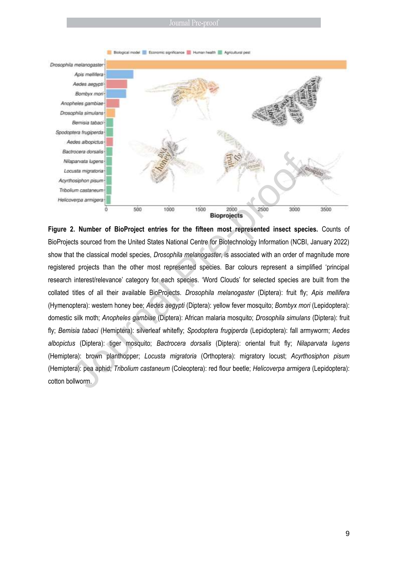

**Figure 2. Number of BioProject entries for the fifteen most represented insect species.** Counts of BioProjects sourced from the United States National Centre for Biotechnology Information (NCBI, January 2022) show that the classical model species, *Drosophila melanogaster*, is associated with an order of magnitude more registered projects than the other most represented species. Bar colours represent a simplified 'principal research interest/relevance' category for each species. 'Word Clouds' for selected species are built from the collated titles of all their available BioProjects. *Drosophila melanogaster* (Diptera): fruit fly; *Apis mellifera*  (Hymenoptera): western honey bee; *Aedes aegypti* (Diptera): yellow fever mosquito; *Bombyx mori* (Lepidoptera): domestic silk moth; *Anopheles gambiae* (Diptera): African malaria mosquito; *Drosophila simulans* (Diptera): fruit fly; *Bemisia tabaci* (Hemiptera): silverleaf whitefly; *Spodoptera frugiperda* (Lepidoptera): fall armyworm; *Aedes albopictus* (Diptera): tiger mosquito; *Bactrocera dorsalis* (Diptera): oriental fruit fly; *Nilaparvata lugens*  (Hemiptera): brown planthopper; *Locusta migratoria* (Orthoptera): migratory locust; *Acyrthosiphon pisum*  (Hemiptera): pea aphid; *Tribolium castaneum* (Coleoptera): red flour beetle; *Helicoverpa armigera* (Lepidoptera): Constantine and the United States National Center Bio-Projects<br>
Milagarvata lugares<br>
Fredoire most are most represented insect spectral<br>
Fredoire most are most represented insect spectral<br>
Historienes are most are most rep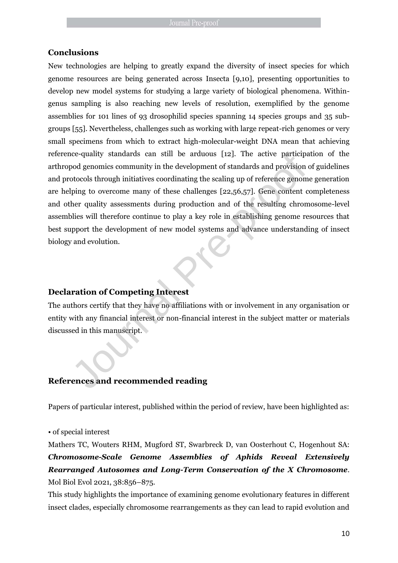## **Conclusions**

New technologies are helping to greatly expand the diversity of insect species for which genome resources are being generated across Insecta [9,10], presenting opportunities to develop new model systems for studying a large variety of biological phenomena. Withingenus sampling is also reaching new levels of resolution, exemplified by the genome assemblies for 101 lines of 93 drosophilid species spanning 14 species groups and 35 subgroups [55]. Nevertheless, challenges such as working with large repeat-rich genomes or very small specimens from which to extract high-molecular-weight DNA mean that achieving reference-quality standards can still be arduous [12]. The active participation of the arthropod genomics community in the development of standards and provision of guidelines and protocols through initiatives coordinating the scaling up of reference genome generation are helping to overcome many of these challenges [22,56,57]. Gene content completeness and other quality assessments during production and of the resulting chromosome-level assemblies will therefore continue to play a key role in establishing genome resources that best support the development of new model systems and advance understanding of insect biology and evolution. note-quality standards can still be arduous [12]. The active particip-<br>pod genomics community in the development of standards and provision<br>otocols through initiatives coordinating the scaling up of reference genom<br>ping to

# **Declaration of Competing Interest**

The authors certify that they have no affiliations with or involvement in any organisation or entity with any financial interest or non-financial interest in the subject matter or materials discussed in this manuscript.

# **References and recommended reading**

Papers of particular interest, published within the period of review, have been highlighted as:

#### • of special interest

Mathers TC, Wouters RHM, Mugford ST, Swarbreck D, van Oosterhout C, Hogenhout SA: *Chromosome-Scale Genome Assemblies of Aphids Reveal Extensively Rearranged Autosomes and Long-Term Conservation of the X Chromosome*. Mol Biol Evol 2021, 38:856–875.

This study highlights the importance of examining genome evolutionary features in different insect clades, especially chromosome rearrangements as they can lead to rapid evolution and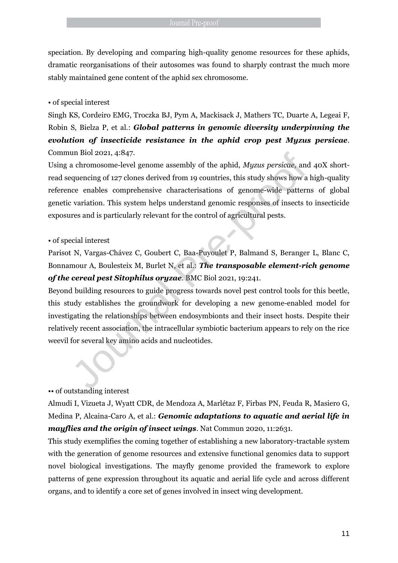speciation. By developing and comparing high-quality genome resources for these aphids, dramatic reorganisations of their autosomes was found to sharply contrast the much more stably maintained gene content of the aphid sex chromosome.

#### • of special interest

Singh KS, Cordeiro EMG, Troczka BJ, Pym A, Mackisack J, Mathers TC, Duarte A, Legeai F, Robin S, Bielza P, et al.: *Global patterns in genomic diversity underpinning the evolution of insecticide resistance in the aphid crop pest Myzus persicae*. Commun Biol 2021, 4:847.

Using a chromosome-level genome assembly of the aphid, *Myzus persicae,* and 40X shortread sequencing of 127 clones derived from 19 countries, this study shows how a high-quality reference enables comprehensive characterisations of genome-wide patterns of global genetic variation. This system helps understand genomic responses of insects to insecticide exposures and is particularly relevant for the control of agricultural pests. un Biol 2021, 4:847.<br>
a chromosome-level genome assembly of the aphid, *Myzus persicae*, an<br>
equencing of 127 clones derived from 19 countries, this study shows how a<br>
cce enables comprehensive characterisations of genome-

#### • of special interest

Parisot N, Vargas-Chávez C, Goubert C, Baa-Puyoulet P, Balmand S, Beranger L, Blanc C, Bonnamour A, Boulesteix M, Burlet N, et al.: *The transposable element-rich genome of the cereal pest Sitophilus oryzae*. BMC Biol 2021, 19:241.

Beyond building resources to guide progress towards novel pest control tools for this beetle, this study establishes the groundwork for developing a new genome-enabled model for investigating the relationships between endosymbionts and their insect hosts. Despite their relatively recent association, the intracellular symbiotic bacterium appears to rely on the rice weevil for several key amino acids and nucleotides.

# •• of outstanding interest

Almudi I, Vizueta J, Wyatt CDR, de Mendoza A, Marlétaz F, Firbas PN, Feuda R, Masiero G, Medina P, Alcaina-Caro A, et al.: *Genomic adaptations to aquatic and aerial life in mayflies and the origin of insect wings*. Nat Commun 2020, 11:2631.

This study exemplifies the coming together of establishing a new laboratory-tractable system with the generation of genome resources and extensive functional genomics data to support novel biological investigations. The mayfly genome provided the framework to explore patterns of gene expression throughout its aquatic and aerial life cycle and across different organs, and to identify a core set of genes involved in insect wing development.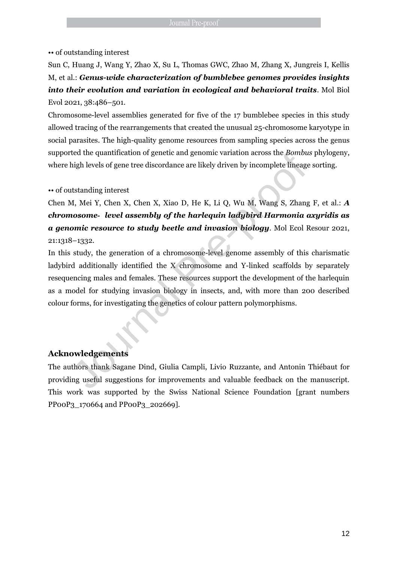•• of outstanding interest

# Sun C, Huang J, Wang Y, Zhao X, Su L, Thomas GWC, Zhao M, Zhang X, Jungreis I, Kellis M, et al.: *Genus-wide characterization of bumblebee genomes provides insights into their evolution and variation in ecological and behavioral traits*. Mol Biol Evol 2021, 38:486–501.

Chromosome-level assemblies generated for five of the 17 bumblebee species in this study allowed tracing of the rearrangements that created the unusual 25-chromosome karyotype in social parasites. The high-quality genome resources from sampling species across the genus supported the quantification of genetic and genomic variation across the *Bombus* phylogeny, where high levels of gene tree discordance are likely driven by incomplete lineage sorting.

•• of outstanding interest

Chen M, Mei Y, Chen X, Chen X, Xiao D, He K, Li Q, Wu M, Wang S, Zhang F, et al.: *A chromosome‐ level assembly of the harlequin ladybird Harmonia axyridis as a genomic resource to study beetle and invasion biology*. Mol Ecol Resour 2021, 21:1318–1332.

In this study, the generation of a chromosome-level genome assembly of this charismatic ladybird additionally identified the X chromosome and Y-linked scaffolds by separately resequencing males and females. These resources support the development of the harlequin as a model for studying invasion biology in insects, and, with more than 200 described colour forms, for investigating the genetics of colour pattern polymorphisms. rea the quantincation or generic and genomic variation across the *bomot*<br>high levels of gene tree discordance are likely driven by incomplete lineag<br>intstanding interest<br>into X, Chen X, Xiao D, He K, Li Q, Wu M, Wang S, Z

# **Acknowledgements**

The authors thank Sagane Dind, Giulia Campli, Livio Ruzzante, and Antonin Thiébaut for providing useful suggestions for improvements and valuable feedback on the manuscript. This work was supported by the Swiss National Science Foundation [grant numbers PP00P3\_170664 and PP00P3\_202669].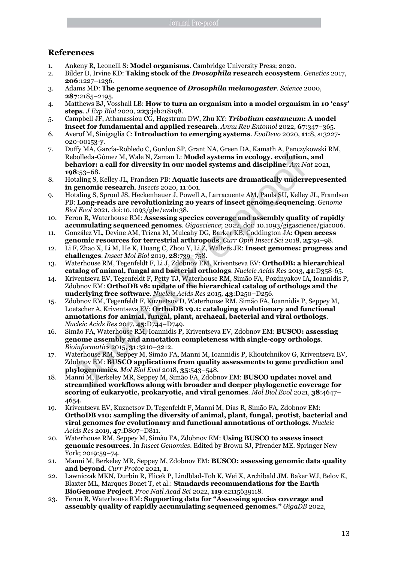# **References**

- 1. Ankeny R, Leonelli S: **Model organisms**. Cambridge University Press; 2020.
- 2. Bilder D, Irvine KD: **Taking stock of the** *Drosophila* **research ecosystem**. *Genetics* 2017, **206**:1227–1236.
- 3. Adams MD: **The genome sequence of** *Drosophila melanogaster*. *Science* 2000, **287**:2185–2195.
- 4. Matthews BJ, Vosshall LB: **How to turn an organism into a model organism in 10 'easy' steps**. *J Exp Biol* 2020, **223**:jeb218198.
- 5. Campbell JF, Athanassiou CG, Hagstrum DW, Zhu KY: *Tribolium castaneum***: A model insect for fundamental and applied research**. *Annu Rev Entomol* 2022, **67**:347–365.
- 6. Averof M, Sinigaglia C: **Introduction to emerging systems**. *EvoDevo* 2020, **11**:8, s13227- 020-00153-y.
- 7. Duffy MA, García-Robledo C, Gordon SP, Grant NA, Green DA, Kamath A, Penczykowski RM, Rebolleda-Gómez M, Wale N, Zaman L: **Model systems in ecology, evolution, and behavior: a call for diversity in our model systems and discipline**. *Am Nat* 2021, **198**:53–68.
- 8. Hotaling S, Kelley JL, Frandsen PB: **Aquatic insects are dramatically underrepresented in genomic research**. *Insects* 2020, **11**:601.
- 9. Hotaling S, Sproul JS, Heckenhauer J, Powell A, Larracuente AM, Pauls SU, Kelley JL, Frandsen PB: **Long-reads are revolutionizing 20 years of insect genome sequencing**. *Genome Biol Evol* 2021, doi:10.1093/gbe/evab138.
- 10. Feron R, Waterhouse RM: **Assessing species coverage and assembly quality of rapidly accumulating sequenced genomes**. *Gigascience*; 2022, doi: 10.1093/gigascience/giac006.
- 11. González VL, Devine AM, Trizna M, Mulcahy DG, Barker KB, Coddington JA: **Open access genomic resources for terrestrial arthropods**. *Curr Opin Insect Sci* 2018, **25**:91–98.
- 12. Li F, Zhao X, Li M, He K, Huang C, Zhou Y, Li Z, Walters JR: **Insect genomes: progress and challenges**. *Insect Mol Biol* 2019, **28**:739–758.
- 13. Waterhouse RM, Tegenfeldt F, Li J, Zdobnov EM, Kriventseva EV: **OrthoDB: a hierarchical catalog of animal, fungal and bacterial orthologs**. *Nucleic Acids Res* 2013, **41**:D358-65.
- 14. Kriventseva EV, Tegenfeldt F, Petty TJ, Waterhouse RM, Simão FA, Pozdnyakov IA, Ioannidis P, Zdobnov EM: **OrthoDB v8: update of the hierarchical catalog of orthologs and the underlying free software**. *Nucleic Acids Res* 2015, **43**:D250–D256.
- 15. Zdobnov EM, Tegenfeldt F, Kuznetsov D, Waterhouse RM, Simão FA, Ioannidis P, Seppey M, Loetscher A, Kriventseva EV: **OrthoDB v9.1: cataloging evolutionary and functional annotations for animal, fungal, plant, archaeal, bacterial and viral orthologs**. *Nucleic Acids Res* 2017, **45**:D744–D749. ebolleda-Gómez M, Wale N, Zaman L: Model systems in ecology, evolution<br>eholleda-Gómez M, Wale N, Zaman L: Model systems and discipline. Am No<br>61 avis 38:53–68.<br>
Voluming S, Kelley JL, Franchen PB: Aquatie insects are drama
- 16. Simão FA, Waterhouse RM, Ioannidis P, Kriventseva EV, Zdobnov EM: **BUSCO: assessing genome assembly and annotation completeness with single-copy orthologs**. *Bioinformatics* 2015, **31**:3210–3212.
- 17. Waterhouse RM, Seppey M, Simão FA, Manni M, Ioannidis P, Klioutchnikov G, Kriventseva EV, Zdobnov EM: **BUSCO applications from quality assessments to gene prediction and phylogenomics**. *Mol Biol Evol* 2018, **35**:543–548.
- 18. Manni M, Berkeley MR, Seppey M, Simão FA, Zdobnov EM: **BUSCO update: novel and streamlined workflows along with broader and deeper phylogenetic coverage for scoring of eukaryotic, prokaryotic, and viral genomes**. *Mol Biol Evol* 2021, **38**:4647– 4654.
- 19. Kriventseva EV, Kuznetsov D, Tegenfeldt F, Manni M, Dias R, Simão FA, Zdobnov EM: **OrthoDB v10: sampling the diversity of animal, plant, fungal, protist, bacterial and viral genomes for evolutionary and functional annotations of orthologs**. *Nucleic Acids Res* 2019, **47**:D807–D811.
- 20. Waterhouse RM, Seppey M, Simão FA, Zdobnov EM: **Using BUSCO to assess insect genomic resources**. In *Insect Genomics*. Edited by Brown SJ, Pfrender ME. Springer New York; 2019:59–74.
- 21. Manni M, Berkeley MR, Seppey M, Zdobnov EM: **BUSCO: assessing genomic data quality and beyond**. *Curr Protoc* 2021, **1**.
- 22. Lawniczak MKN, Durbin R, Flicek P, Lindblad-Toh K, Wei X, Archibald JM, Baker WJ, Belov K, Blaxter ML, Marques Bonet T, et al.: **Standards recommendations for the Earth BioGenome Project**. *Proc Natl Acad Sci* 2022, **119**:e2115639118.
- 23. Feron R, Waterhouse RM: **Supporting data for "Assessing species coverage and assembly quality of rapidly accumulating sequenced genomes."** *GigaDB* 2022,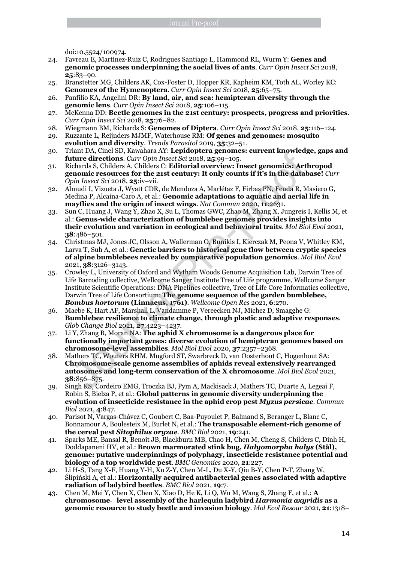doi:10.5524/100974.

- 24. Favreau E, Martínez-Ruiz C, Rodrigues Santiago L, Hammond RL, Wurm Y: **Genes and genomic processes underpinning the social lives of ants**. *Curr Opin Insect Sci* 2018, **25**:83–90.
- 25. Branstetter MG, Childers AK, Cox-Foster D, Hopper KR, Kapheim KM, Toth AL, Worley KC: **Genomes of the Hymenoptera**. *Curr Opin Insect Sci* 2018, **25**:65–75.
- 26. Panfilio KA, Angelini DR: **By land, air, and sea: hemipteran diversity through the genomic lens**. *Curr Opin Insect Sci* 2018, **25**:106–115.
- 27. McKenna DD: **Beetle genomes in the 21st century: prospects, progress and priorities**. *Curr Opin Insect Sci* 2018, **25**:76–82.
- 28. Wiegmann BM, Richards S: **Genomes of Diptera**. *Curr Opin Insect Sci* 2018, **25**:116–124.
- 29. Ruzzante L, Reijnders MJMF, Waterhouse RM: **Of genes and genomes: mosquito evolution and diversity**. *Trends Parasitol* 2019, **35**:32–51.
- 30. Triant DA, Cinel SD, Kawahara AY: **Lepidoptera genomes: current knowledge, gaps and future directions**. *Curr Opin Insect Sci* 2018, **25**:99–105.
- 31. Richards S, Childers A, Childers C: **Editorial overview: Insect genomics: Arthropod genomic resources for the 21st century: It only counts if it's in the database!** *Curr Opin Insect Sci* 2018, **25**:iv–vii.
- 32. Almudi I, Vizueta J, Wyatt CDR, de Mendoza A, Marlétaz F, Firbas PN, Feuda R, Masiero G, Medina P, Alcaina-Caro A, et al.: **Genomic adaptations to aquatic and aerial life in mayflies and the origin of insect wings**. *Nat Commun* 2020, **11**:2631.
- 33. Sun C, Huang J, Wang Y, Zhao X, Su L, Thomas GWC, Zhao M, Zhang X, Jungreis I, Kellis M, et al.: **Genus-wide characterization of bumblebee genomes provides insights into their evolution and variation in ecological and behavioral traits**. *Mol Biol Evol* 2021, **38**:486–501.
- 34. Christmas MJ, Jones JC, Olsson A, Wallerman O, Bunikis I, Kierczak M, Peona V, Whitley KM, Larva T, Suh A, et al.: **Genetic barriers to historical gene flow between cryptic species of alpine bumblebees revealed by comparative population genomics**. *Mol Biol Evol* 2021, **38**:3126–3143.
- 35. Crowley L, University of Oxford and Wytham Woods Genome Acquisition Lab, Darwin Tree of Life Barcoding collective, Wellcome Sanger Institute Tree of Life programme, Wellcome Sanger Institute Scientific Operations: DNA Pipelines collective, Tree of Life Core Informatics collective, Darwin Tree of Life Consortium: **The genome sequence of the garden bumblebee,**  *Bombus hortorum* **(Linnaeus, 1761)**. *Wellcome Open Res* 2021, **6**:270. namental S. Childers A. Children II. Septenbent Revolution States (Fig. 2018, 25:99–105.<br>
Inture directions. Curr Opin Insect Sci 2018, 25:99–105.<br>
Inture directions. Curr Opin Insect Sci 2018, 25:99–105.<br>
Inture direction
- 36. Maebe K, Hart AF, Marshall L, Vandamme P, Vereecken NJ, Michez D, Smagghe G: **Bumblebee resilience to climate change, through plastic and adaptive responses**. *Glob Change Biol* 2021, **27**:4223–4237.
- 37. Li Y, Zhang B, Moran NA: **The aphid X chromosome is a dangerous place for functionally important genes: diverse evolution of hemipteran genomes based on chromosome-level assemblies**. *Mol Biol Evol* 2020, **37**:2357–2368.
- 38. Mathers TC, Wouters RHM, Mugford ST, Swarbreck D, van Oosterhout C, Hogenhout SA: **Chromosome-scale genome assemblies of aphids reveal extensively rearranged autosomes and long-term conservation of the X chromosome**. *Mol Biol Evol* 2021, **38**:856–875.
- 39. Singh KS, Cordeiro EMG, Troczka BJ, Pym A, Mackisack J, Mathers TC, Duarte A, Legeai F, Robin S, Bielza P, et al.: **Global patterns in genomic diversity underpinning the evolution of insecticide resistance in the aphid crop pest** *Myzus persicae*. *Commun Biol* 2021, **4**:847.
- 40. Parisot N, Vargas-Chávez C, Goubert C, Baa-Puyoulet P, Balmand S, Beranger L, Blanc C, Bonnamour A, Boulesteix M, Burlet N, et al.: **The transposable element-rich genome of the cereal pest** *Sitophilus oryzae*. *BMC Biol* 2021, **19**:241.
- 41. Sparks ME, Bansal R, Benoit JB, Blackburn MB, Chao H, Chen M, Cheng S, Childers C, Dinh H, Doddapaneni HV, et al.: **Brown marmorated stink bug,** *Halyomorpha halys* **(Stål), genome: putative underpinnings of polyphagy, insecticide resistance potential and biology of a top worldwide pest**. *BMC Genomics* 2020, **21**:227.
- 42. Li H-S, Tang X-F, Huang Y-H, Xu Z-Y, Chen M-L, Du X-Y, Qiu B-Y, Chen P-T, Zhang W, Ślipiński A, et al.: **Horizontally acquired antibacterial genes associated with adaptive radiation of ladybird beetles**. *BMC Biol* 2021, **19**:7.
- 43. Chen M, Mei Y, Chen X, Chen X, Xiao D, He K, Li Q, Wu M, Wang S, Zhang F, et al.: **A chromosome‐ level assembly of the harlequin ladybird** *Harmonia axyridis* **as a genomic resource to study beetle and invasion biology**. *Mol Ecol Resour* 2021, **21**:1318–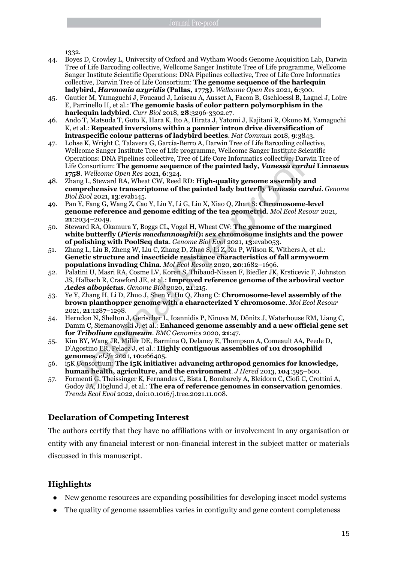1332.

- 44. Boyes D, Crowley L, University of Oxford and Wytham Woods Genome Acquisition Lab, Darwin Tree of Life Barcoding collective, Wellcome Sanger Institute Tree of Life programme, Wellcome Sanger Institute Scientific Operations: DNA Pipelines collective, Tree of Life Core Informatics collective, Darwin Tree of Life Consortium: **The genome sequence of the harlequin ladybird,** *Harmonia axyridis* **(Pallas, 1773)**. *Wellcome Open Res* 2021, **6**:300.
- 45. Gautier M, Yamaguchi J, Foucaud J, Loiseau A, Ausset A, Facon B, Gschloessl B, Lagnel J, Loire E, Parrinello H, et al.: **The genomic basis of color pattern polymorphism in the harlequin ladybird**. *Curr Biol* 2018, **28**:3296-3302.e7.
- 46. Ando T, Matsuda T, Goto K, Hara K, Ito A, Hirata J, Yatomi J, Kajitani R, Okuno M, Yamaguchi K, et al.: **Repeated inversions within a pannier intron drive diversification of intraspecific colour patterns of ladybird beetles**. *Nat Commun* 2018, **9**:3843.
- 47. Lohse K, Wright C, Talavera G, García-Berro A, Darwin Tree of Life Barcoding collective, Wellcome Sanger Institute Tree of Life programme, Wellcome Sanger Institute Scientific Operations: DNA Pipelines collective, Tree of Life Core Informatics collective, Darwin Tree of Life Consortium: **The genome sequence of the painted lady,** *Vanessa cardui* **Linnaeus 1758**. *Wellcome Open Res* 2021, **6**:324. Frechosis: DNA Preliens club at the one programme, someoned angular contents. DNA Prelines collective, Tree of Life Core Informaties collective, David Free Constitution: The genome sequence of the painted lady, Vanessa car
- 48. Zhang L, Steward RA, Wheat CW, Reed RD: **High-quality genome assembly and comprehensive transcriptome of the painted lady butterfly** *Vanessa cardui*. *Genome Biol Evol* 2021, **13**:evab145.
- 49. Pan Y, Fang G, Wang Z, Cao Y, Liu Y, Li G, Liu X, Xiao Q, Zhan S: **Chromosome-level genome reference and genome editing of the tea geometrid**. *Mol Ecol Resour* 2021, **21**:2034–2049.
- 50. Steward RA, Okamura Y, Boggs CL, Vogel H, Wheat CW: **The genome of the margined white butterfly (***Pieris macdunnoughii***): sex chromosome insights and the power of polishing with PoolSeq data**. *Genome Biol Evol* 2021, **13**:evab053.
- 51. Zhang L, Liu B, Zheng W, Liu C, Zhang D, Zhao S, Li Z, Xu P, Wilson K, Withers A, et al.: **Genetic structure and insecticide resistance characteristics of fall armyworm populations invading China**. *Mol Ecol Resour* 2020, **20**:1682–1696.
- 52. Palatini U, Masri RA, Cosme LV, Koren S, Thibaud-Nissen F, Biedler JK, Krsticevic F, Johnston JS, Halbach R, Crawford JE, et al.: **Improved reference genome of the arboviral vector**  *Aedes albopictus*. *Genome Biol* 2020, **21**:215.
- 53. Ye Y, Zhang H, Li D, Zhuo J, Shen Y, Hu Q, Zhang C: **Chromosome-level assembly of the brown planthopper genome with a characterized Y chromosome**. *Mol Ecol Resour* 2021, **21**:1287–1298.
- 54. Herndon N, Shelton J, Gerischer L, Ioannidis P, Ninova M, Dönitz J, Waterhouse RM, Liang C, Damm C, Siemanowski J, et al.: **Enhanced genome assembly and a new official gene set for** *Tribolium castaneum*. *BMC Genomics* 2020, **21**:47.
- 55. Kim BY, Wang JR, Miller DE, Barmina O, Delaney E, Thompson A, Comeault AA, Peede D, D'Agostino ER, Pelaez J, et al.: **Highly contiguous assemblies of 101 drosophilid genomes**. *eLife* 2021, **10**:e66405.
- 56. i5K Consortium: **The i5K initiative: advancing arthropod genomics for knowledge, human health, agriculture, and the environment**. *J Hered* 2013, **104**:595–600.
- 57. Formenti G, Theissinger K, Fernandes C, Bista I, Bombarely A, Bleidorn C, Ciofi C, Crottini A, Godoy JA, Höglund J, et al.: **The era of reference genomes in conservation genomics**. *Trends Ecol Evol* 2022, doi:10.1016/j.tree.2021.11.008.

# **Declaration of Competing Interest**

The authors certify that they have no affiliations with or involvement in any organisation or entity with any financial interest or non-financial interest in the subject matter or materials discussed in this manuscript.

# **Highlights**

- New genome resources are expanding possibilities for developing insect model systems
- The quality of genome assemblies varies in contiguity and gene content completeness